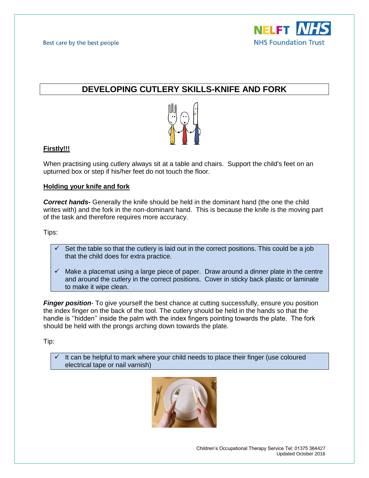

# **DEVELOPING CUTLERY SKILLS-KNIFE AND FORK**



## **Firstly!!!**

When practising using cutlery always sit at a table and chairs. Support the child's feet on an upturned box or step if his/her feet do not touch the floor.

## **Holding your knife and fork**

*Correct hands-* Generally the knife should be held in the dominant hand (the one the child writes with) and the fork in the non-dominant hand. This is because the knife is the moving part of the task and therefore requires more accuracy.

Tips:

- $\checkmark$  Set the table so that the cutlery is laid out in the correct positions. This could be a job that the child does for extra practice.
- $\checkmark$  Make a placemat using a large piece of paper. Draw around a dinner plate in the centre and around the cutlery in the correct positions. Cover in sticky back plastic or laminate to make it wipe clean.

*Finger position*- To give yourself the best chance at cutting successfully, ensure you position the index finger on the back of the tool. The cutlery should be held in the hands so that the handle is ''hidden'' inside the palm with the index fingers pointing towards the plate. The fork should be held with the prongs arching down towards the plate.

Tip:

 $\checkmark$  It can be helpful to mark where your child needs to place their finger (use coloured electrical tape or nail varnish)